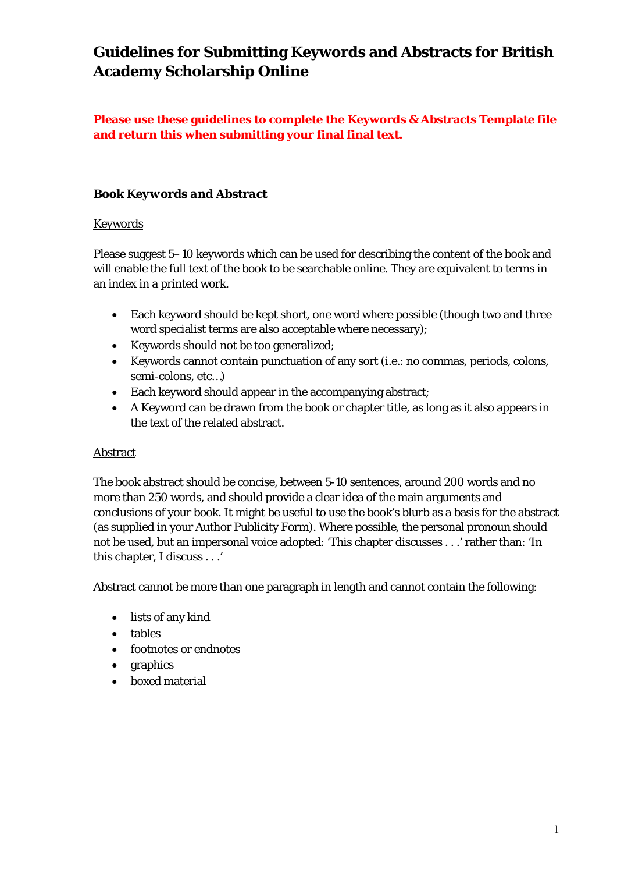# **Guidelines for Submitting Keywords and Abstracts for British Academy Scholarship Online**

# **Please use these guidelines to complete the Keywords & Abstracts Template file and return this when submitting your final final text.**

## *Book Keywords and Abstract*

## Keywords

Please suggest 5–10 keywords which can be used for describing the content of the book and will enable the full text of the book to be searchable online. They are equivalent to terms in an index in a printed work.

- Each keyword should be kept short, one word where possible (though two and three word specialist terms are also acceptable where necessary);
- Keywords should not be too generalized;
- Keywords cannot contain punctuation of any sort (i.e.: no commas, periods, colons, semi-colons, etc…)
- Each keyword should appear in the accompanying abstract;
- A Keyword can be drawn from the book or chapter title, as long as it also appears in the text of the related abstract.

## Abstract

The book abstract should be concise, between 5-10 sentences, around 200 words and no more than 250 words, and should provide a clear idea of the main arguments and conclusions of your book. It might be useful to use the book's blurb as a basis for the abstract (as supplied in your Author Publicity Form). Where possible, the personal pronoun should not be used, but an impersonal voice adopted: 'This chapter discusses . . .' rather than: 'In this chapter, I discuss . . .'

Abstract cannot be more than one paragraph in length and cannot contain the following:

- lists of any kind
- tables
- footnotes or endnotes
- graphics
- boxed material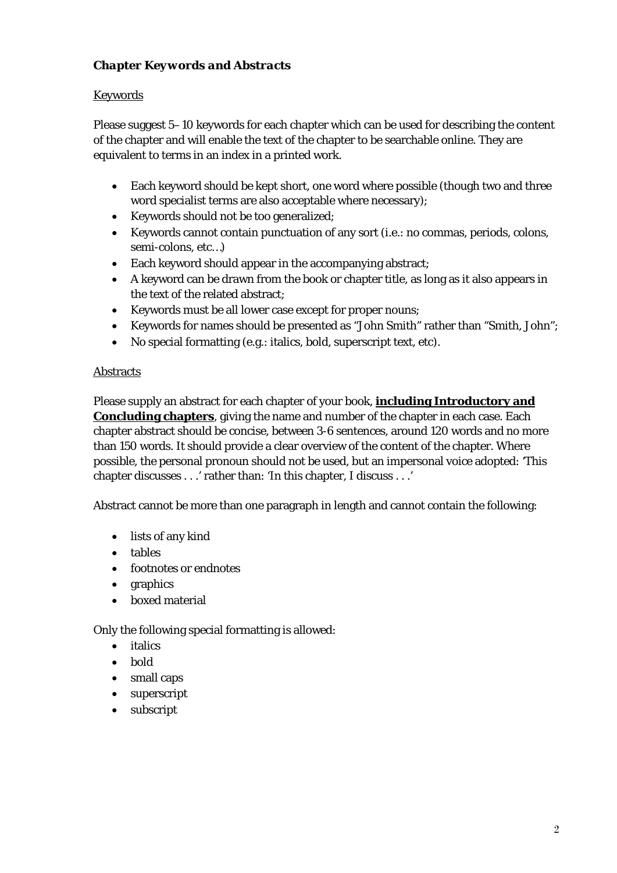# *Chapter Keywords and Abstracts*

## **Keywords**

Please suggest 5–10 keywords for each chapter which can be used for describing the content of the chapter and will enable the text of the chapter to be searchable online. They are equivalent to terms in an index in a printed work.

- Each keyword should be kept short, one word where possible (though two and three word specialist terms are also acceptable where necessary);
- Keywords should not be too generalized;
- Keywords cannot contain punctuation of any sort (i.e.: no commas, periods, colons, semi-colons, etc…)
- Each keyword should appear in the accompanying abstract;
- A keyword can be drawn from the book or chapter title, as long as it also appears in the text of the related abstract;
- Keywords must be all lower case except for proper nouns;
- Keywords for names should be presented as "John Smith" rather than "Smith, John";
- No special formatting (e.g.: italics, bold, superscript text, etc).

#### Abstracts

Please supply an abstract for each chapter of your book, **including Introductory and Concluding chapters**, giving the name and number of the chapter in each case. Each chapter abstract should be concise, between 3-6 sentences, around 120 words and no more than 150 words. It should provide a clear overview of the content of the chapter. Where possible, the personal pronoun should not be used, but an impersonal voice adopted: 'This chapter discusses . . .' rather than: 'In this chapter, I discuss . . .'

Abstract cannot be more than one paragraph in length and cannot contain the following:

- lists of any kind
- tables
- footnotes or endnotes
- graphics
- boxed material

Only the following special formatting is allowed:

- italics
- bold
- small caps
- superscript
- subscript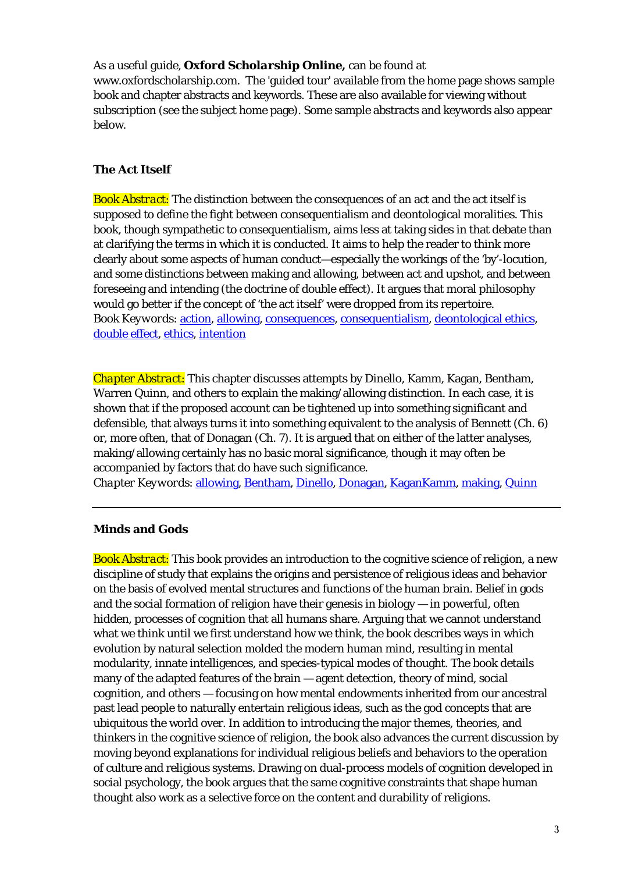#### As a useful guide, *Oxford Scholarship Online,* can be found at

www.oxfordscholarship.com. The 'guided tour' available from the home page shows sample book and chapter abstracts and keywords. These are also available for viewing without subscription (see the subject home page). Some sample abstracts and keywords also appear below.

#### **The Act Itself**

*Book Abstract*: The distinction between the consequences of an act and the act itself is supposed to define the fight between consequentialism and deontological moralities. This book, though sympathetic to consequentialism, aims less at taking sides in that debate than at clarifying the terms in which it is conducted. It aims to help the reader to think more clearly about some aspects of human conduct—especially the workings of the 'by'-locution, and some distinctions between making and allowing, between act and upshot, and between foreseeing and intending (the doctrine of double effect). It argues that moral philosophy would go better if the concept of 'the act itself' were dropped from its repertoire. *Book Keywords*: [action,](http://www.oxfordscholarship.com/search/query?keyword=%22action%22) [allowing,](http://www.oxfordscholarship.com/search/query?keyword=%22allowing%22) [consequences,](http://www.oxfordscholarship.com/search/query?keyword=%22consequences%22) [consequentialism,](http://www.oxfordscholarship.com/search/query?keyword=%22consequentialism%22) [deontological ethics,](http://www.oxfordscholarship.com/search/query?keyword=%22deontological%20ethics%22) [double effect,](http://www.oxfordscholarship.com/search/query?keyword=%22double%20effect%22) [ethics,](http://www.oxfordscholarship.com/search/query?keyword=%22ethics%22) [intention](http://www.oxfordscholarship.com/search/query?keyword=%22intention%22)

*Chapter Abstract*: This chapter discusses attempts by Dinello, Kamm, Kagan, Bentham, Warren Quinn, and others to explain the making/allowing distinction. In each case, it is shown that if the proposed account can be tightened up into something significant and defensible, that always turns it into something equivalent to the analysis of Bennett (Ch. 6) or, more often, that of Donagan (Ch. 7). It is argued that on either of the latter analyses, making/allowing certainly has no *basic* moral significance, though it may often be accompanied by factors that do have such significance.

*Chapter Keywords*: [allowing,](http://www.oxfordscholarship.com/search/query?keyword=%22allowing%22) [Bentham,](http://www.oxfordscholarship.com/search/query?keyword=%22Bentham%22) [Dinello,](http://www.oxfordscholarship.com/search/query?keyword=%22Dinello%22) [Donagan,](http://www.oxfordscholarship.com/search/query?keyword=%22Donagan%22) [KaganKamm,](http://www.oxfordscholarship.com/search/query?keyword=%22KaganKamm%22) [making,](http://www.oxfordscholarship.com/search/query?keyword=%22making%22) [Quinn](http://www.oxfordscholarship.com/search/query?keyword=%22Quinn%22)

#### **Minds and Gods**

*Book Abstract*: This book provides an introduction to the cognitive science of religion, a new discipline of study that explains the origins and persistence of religious ideas and behavior on the basis of evolved mental structures and functions of the human brain. Belief in gods and the social formation of religion have their genesis in biology — in powerful, often hidden, processes of cognition that all humans share. Arguing that we cannot understand what we think until we first understand how we think, the book describes ways in which evolution by natural selection molded the modern human mind, resulting in mental modularity, innate intelligences, and species-typical modes of thought. The book details many of the adapted features of the brain — agent detection, theory of mind, social cognition, and others — focusing on how mental endowments inherited from our ancestral past lead people to naturally entertain religious ideas, such as the god concepts that are ubiquitous the world over. In addition to introducing the major themes, theories, and thinkers in the cognitive science of religion, the book also advances the current discussion by moving beyond explanations for individual religious beliefs and behaviors to the operation of culture and religious systems. Drawing on dual-process models of cognition developed in social psychology, the book argues that the same cognitive constraints that shape human thought also work as a selective force on the content and durability of religions.